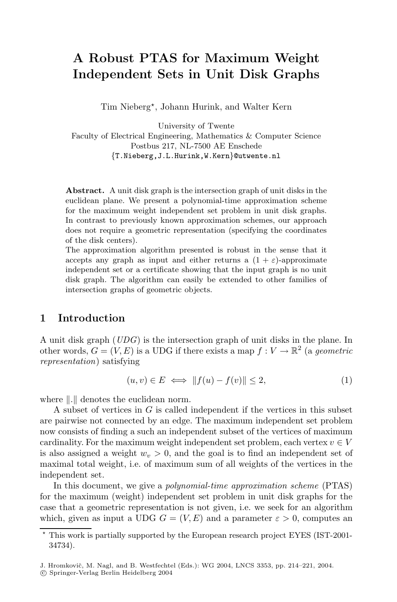# **A Robust PTAS for Maximum Weight Independent Sets in Unit Disk Graphs**

Tim Nieberg<sup>\*</sup>, Johann Hurink, and Walter Kern

University of Twente Faculty of Electrical Engineering, Mathematics & Computer Science Postbus 217, NL-7500 AE Enschede *{*T.Nieberg,J.L.Hurink,W.Kern*}*@utwente.nl

**Abstract.** A unit disk graph is the intersection graph of unit disks in the euclidean plane. We present a polynomial-time approximation scheme for the maximum weight independent set problem in unit disk graphs. In contrast to previously known approximation schemes, our approach does not require a geometric representation (specifying the coordinates of the disk centers).

The approximation algorithm presented is robust in the sense that it accepts any graph as input and either returns a  $(1 + \varepsilon)$ -approximate independent set or a certificate showing that the input graph is no unit disk graph. The algorithm can easily be extended to other families of intersection graphs of geometric objects.

## **1 Introduction**

A unit disk graph (*UDG*) is the intersection graph of unit disks in the plane. In other words,  $G = (V, E)$  is a UDG if there exists a map  $f : V \to \mathbb{R}^2$  (a *geometric representation*) satisfying

$$
(u, v) \in E \iff ||f(u) - f(v)|| \le 2,\tag{1}
$$

where  $\|.\|$  denotes the euclidean norm.

A subset of vertices in  $G$  is called independent if the vertices in this subset are pairwise not connected by an edge. The maximum independent set problem now consists of finding a such an independent subset of the vertices of maximum cardinality. For the maximum weight independent set problem, each vertex  $v \in V$ is also assigned a weight  $w_n > 0$ , and the goal is to find an independent set of maximal total weight, i.e. of maximum sum of all weights of the vertices in the independent set.

In this document, we give a *polynomial-time approximation scheme* (PTAS) for the maximum (weight) independent set problem in unit disk graphs for the case that a geometric representation is not given, i.e. we seek for an algorithm which, given as input a UDG  $G = (V, E)$  and a parameter  $\varepsilon > 0$ , computes an

This work is partially supported by the European research project EYES (IST-2001- 34734).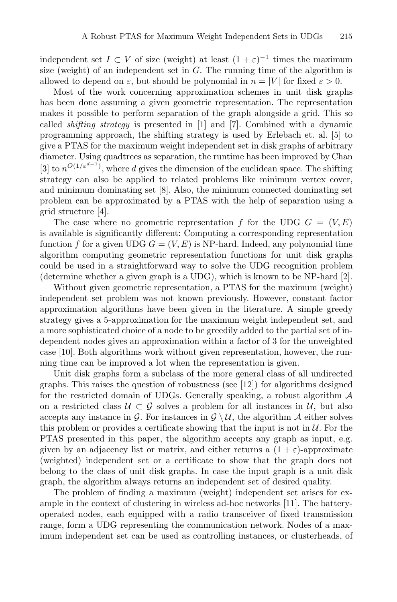independent set  $I \subset V$  of size (weight) at least  $(1 + \varepsilon)^{-1}$  times the maximum size (weight) of an independent set in  $G$ . The running time of the algorithm is allowed to depend on  $\varepsilon$ , but should be polynomial in  $n = |V|$  for fixed  $\varepsilon > 0$ .

Most of the work concerning approximation schemes in unit disk graphs has been done assuming a given geometric representation. The representation makes it possible to perform separation of the graph alongside a grid. This so called *shifting strategy* is presented in [1] and [7]. Combined with a dynamic programming approach, the shifting strategy is used by Erlebach et. al. [5] to give a PTAS for the maximum weight independent set in disk graphs of arbitrary diameter. Using quadtrees as separation, the runtime has been improved by Chan [3] to  $n^{O(1/\varepsilon^{d-1})}$ , where d gives the dimension of the euclidean space. The shifting strategy can also be applied to related problems like minimum vertex cover, and minimum dominating set  $[8]$ . Also, the minimum connected dominating set problem can be approximated by a PTAS with the help of separation using a grid structure [4].

The case where no geometric representation f for the UDG  $G = (V, E)$ is available is significantly different: Computing a corresponding representation function f for a given UDG  $G = (V, E)$  is NP-hard. Indeed, any polynomial time algorithm computing geometric representation functions for unit disk graphs could be used in a straightforward way to solve the UDG recognition problem (determine whether a given graph is a UDG), which is known to be NP-hard [2].

Without given geometric representation, a PTAS for the maximum (weight) independent set problem was not known previously. However, constant factor approximation algorithms have been given in the literature. A simple greedy strategy gives a 5-approximation for the maximum weight independent set, and a more sophisticated choice of a node to be greedily added to the partial set of independent nodes gives an approximation within a factor of 3 for the unweighted case [10]. Both algorithms work without given representation, however, the running time can be improved a lot when the representation is given.

Unit disk graphs form a subclass of the more general class of all undirected graphs. This raises the question of robustness (see  $|12|$ ) for algorithms designed for the restricted domain of UDGs. Generally speaking, a robust algorithm  $\mathcal A$ on a restricted class  $U\subset\mathcal{G}$  solves a problem for all instances in  $U$ , but also accepts any instance in G. For instances in  $\mathcal{G}\setminus\mathcal{U}$ , the algorithm A either solves this problem or provides a certificate showing that the input is not in  $U$ . For the PTAS presented in this paper, the algorithm accepts any graph as input, e.g. given by an adjacency list or matrix, and either returns a  $(1 + \varepsilon)$ -approximate (weighted) independent set or a certificate to show that the graph does not belong to the class of unit disk graphs. In case the input graph is a unit disk graph, the algorithm always returns an independent set of desired quality.

The problem of finding a maximum (weight) independent set arises for example in the context of clustering in wireless ad-hoc networks [11]. The batteryoperated nodes, each equipped with a radio transceiver of fixed transmission range, form a UDG representing the communication network. Nodes of a maximum independent set can be used as controlling instances, or clusterheads, of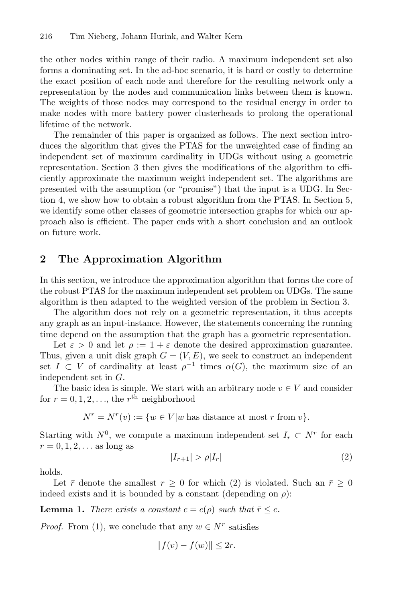the other nodes within range of their radio. A maximum independent set also forms a dominating set. In the ad-hoc scenario, it is hard or costly to determine the exact position of each node and therefore for the resulting network only a representation by the nodes and communication links between them is known. The weights of those nodes may correspond to the residual energy in order to make nodes with more battery power clusterheads to prolong the operational lifetime of the network.

The remainder of this paper is organized as follows. The next section introduces the algorithm that gives the PTAS for the unweighted case of finding an independent set of maximum cardinality in UDGs without using a geometric representation. Section 3 then gives the modifications of the algorithm to efficiently approximate the maximum weight independent set. The algorithms are presented with the assumption (or "promise") that the input is a UDG. In Section 4, we show how to obtain a robust algorithm from the PTAS. In Section 5, we identify some other classes of geometric intersection graphs for which our approach also is efficient. The paper ends with a short conclusion and an outlook on future work.

## **2 The Approximation Algorithm**

In this section, we introduce the approximation algorithm that forms the core of the robust PTAS for the maximum independent set problem on UDGs. The same algorithm is then adapted to the weighted version of the problem in Section 3.

The algorithm does not rely on a geometric representation, it thus accepts any graph as an input-instance. However, the statements concerning the running time depend on the assumption that the graph has a geometric representation.

Let  $\varepsilon > 0$  and let  $\rho := 1 + \varepsilon$  denote the desired approximation guarantee. Thus, given a unit disk graph  $G = (V, E)$ , we seek to construct an independent set  $I \subset V$  of cardinality at least  $\rho^{-1}$  times  $\alpha(G)$ , the maximum size of an independent set in G.

The basic idea is simple. We start with an arbitrary node  $v \in V$  and consider for  $r = 0, 1, 2, \ldots$ , the  $r<sup>th</sup>$  neighborhood

 $N^r = N^r(v) := \{w \in V | w$  has distance at most r from v $\}.$ 

Starting with  $N^0$ , we compute a maximum independent set  $I_r \subset N^r$  for each  $r = 0, 1, 2, \ldots$  as long as

$$
|I_{r+1}| > \rho |I_r| \tag{2}
$$

holds.

Let  $\bar{r}$  denote the smallest  $r \geq 0$  for which (2) is violated. Such an  $\bar{r} \geq 0$ indeed exists and it is bounded by a constant (depending on  $\rho$ ):

**Lemma 1.** *There exists a constant*  $c = c(\rho)$  *such that*  $\bar{r} \leq c$ *.* 

*Proof.* From (1), we conclude that any  $w \in N^r$  satisfies

$$
||f(v) - f(w)|| \le 2r.
$$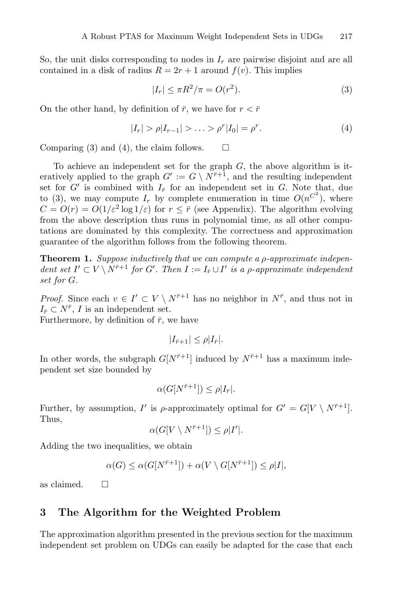So, the unit disks corresponding to nodes in  $I_r$  are pairwise disjoint and are all contained in a disk of radius  $R = 2r + 1$  around  $f(v)$ . This implies

$$
|I_r| \le \pi R^2/\pi = O(r^2). \tag{3}
$$

On the other hand, by definition of  $\bar{r}$ , we have for  $r < \bar{r}$ 

$$
|I_r| > \rho |I_{r-1}| > \ldots > \rho^r |I_0| = \rho^r.
$$
 (4)

Comparing (3) and (4), the claim follows.  $\square$ 

To achieve an independent set for the graph  $G$ , the above algorithm is iteratively applied to the graph  $G' := G \setminus N^{\bar{r}+1}$ , and the resulting independent set for  $G'$  is combined with  $I_{\bar{r}}$  for an independent set in G. Note that, due to (3), we may compute  $I_r$  by complete enumeration in time  $O(n^{C^2})$ , where  $C = O(r) = O(1/\varepsilon^2 \log 1/\varepsilon)$  for  $r \leq \bar{r}$  (see Appendix). The algorithm evolving from the above description thus runs in polynomial time, as all other computations are dominated by this complexity. The correctness and approximation guarantee of the algorithm follows from the following theorem.

**Theorem 1.** *Suppose inductively that we can compute a* ρ*-approximate independent set*  $I' \subset V \setminus N^{\bar{r}+1}$  *for*  $G'$ *. Then*  $I := I_{\bar{r}} \cup I'$  *is a ρ*-*approximate independent set for* G*.*

*Proof.* Since each  $v \in I' \subset V \setminus N^{\bar{r}+1}$  has no neighbor in  $N^{\bar{r}}$ , and thus not in  $I_{\bar{r}} \subset N^{\bar{r}}$ , I is an independent set.

Furthermore, by definition of  $\bar{r}$ , we have

$$
|I_{\bar{r}+1}| \leq \rho |I_{\bar{r}}|.
$$

In other words, the subgraph  $G[N^{\bar{r}+1}]$  induced by  $N^{\bar{r}+1}$  has a maximum independent set size bounded by

$$
\alpha(G[N^{\bar{r}+1}]) \le \rho |I_{\bar{r}}|.
$$

Further, by assumption, I' is  $\rho$ -approximately optimal for  $G' = G[V \setminus N^{\bar{r}+1}].$ Thus,

$$
\alpha(G[V \setminus N^{\bar{r}+1}]) \le \rho|I'|.
$$

Adding the two inequalities, we obtain

$$
\alpha(G) \le \alpha(G[N^{\bar{r}+1}]) + \alpha(V \setminus G[N^{\bar{r}+1}]) \le \rho|I|,
$$

as claimed.  $\square$ 

#### **3 The Algorithm for the Weighted Problem**

The approximation algorithm presented in the previous section for the maximum independent set problem on UDGs can easily be adapted for the case that each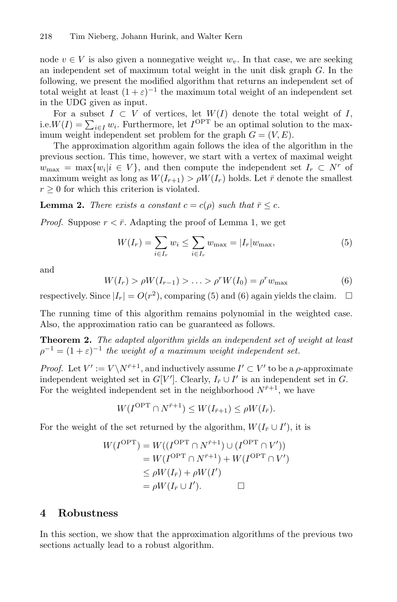node  $v \in V$  is also given a nonnegative weight  $w_v$ . In that case, we are seeking an independent set of maximum total weight in the unit disk graph  $G$ . In the following, we present the modified algorithm that returns an independent set of total weight at least  $(1 + \varepsilon)^{-1}$  the maximum total weight of an independent set in the UDG given as input.

For a subset  $I \subset V$  of vertices, let  $W(I)$  denote the total weight of I, i.e. $W(I) = \sum_{i \in I} w_i$ . Furthermore, let  $I^{\text{OPT}}$  be an optimal solution to the maximum weight independent set problem for the graph  $G = (V, E)$ .

The approximation algorithm again follows the idea of the algorithm in the previous section. This time, however, we start with a vertex of maximal weight  $w_{\text{max}} = \max\{w_i | i \in V\}$ , and then compute the independent set  $I_r \subset N^r$  of maximum weight as long as  $W(I_{r+1}) > \rho W(I_r)$  holds. Let  $\bar{r}$  denote the smallest  $r \geq 0$  for which this criterion is violated.

**Lemma 2.** *There exists a constant*  $c = c(\rho)$  *such that*  $\bar{r} \leq c$ *.* 

*Proof.* Suppose  $r < \bar{r}$ . Adapting the proof of Lemma 1, we get

$$
W(I_r) = \sum_{i \in I_r} w_i \le \sum_{i \in I_r} w_{\text{max}} = |I_r| w_{\text{max}}, \tag{5}
$$

and

$$
W(I_r) > \rho W(I_{r-1}) > \ldots > \rho^r W(I_0) = \rho^r w_{\max}
$$
 (6)

respectively. Since  $|I_r| = O(r^2)$ , comparing (5) and (6) again yields the claim.  $\Box$ 

The running time of this algorithm remains polynomial in the weighted case. Also, the approximation ratio can be guaranteed as follows.

**Theorem 2.** *The adapted algorithm yields an independent set of weight at least*  $\rho^{-1} = (1 + \varepsilon)^{-1}$  the weight of a maximum weight independent set.

*Proof.* Let  $V' := V \backslash N^{\bar{r}+1}$ , and inductively assume  $I' \subset V'$  to be a  $\rho$ -approximate independent weighted set in  $G[V']$ . Clearly,  $I_{\bar{r}} \cup I'$  is an independent set in G. For the weighted independent set in the neighborhood  $N^{\bar{r}+1}$ , we have

$$
W(I^{\text{OPT}} \cap N^{\bar{r}+1}) \leq W(I_{\bar{r}+1}) \leq \rho W(I_{\bar{r}}).
$$

For the weight of the set returned by the algorithm,  $W(I_{\bar{r}} \cup I')$ , it is

$$
W(I^{\text{OPT}}) = W((I^{\text{OPT}} \cap N^{\bar{r}+1}) \cup (I^{\text{OPT}} \cap V'))
$$
  
= 
$$
W(I^{\text{OPT}} \cap N^{\bar{r}+1}) + W(I^{\text{OPT}} \cap V')
$$
  

$$
\leq \rho W(I_{\bar{r}}) + \rho W(I')
$$
  
= 
$$
\rho W(I_{\bar{r}} \cup I'). \qquad \Box
$$

#### **4 Robustness**

In this section, we show that the approximation algorithms of the previous two sections actually lead to a robust algorithm.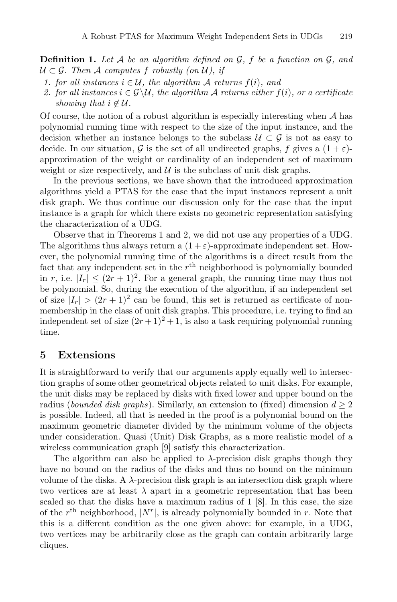**Definition 1.** *Let* A *be an algorithm defined on* G*,* f *be a function on* G*, and*  $U \subset \mathcal{G}$ . Then A computes f robustly (on U), if

- *1. for all instances*  $i \in \mathcal{U}$ *, the algorithm* A *returns*  $f(i)$ *, and*
- *2. for all instances*  $i \in \mathcal{G} \setminus \mathcal{U}$ , the algorithm  $\mathcal{A}$  returns either  $f(i)$ , or a certificate *showing that*  $i \notin U$ .

Of course, the notion of a robust algorithm is especially interesting when  $A$  has polynomial running time with respect to the size of the input instance, and the decision whether an instance belongs to the subclass  $\mathcal{U} \subset \mathcal{G}$  is not as easy to decide. In our situation, G is the set of all undirected graphs, f gives a  $(1 + \varepsilon)$ approximation of the weight or cardinality of an independent set of maximum weight or size respectively, and  $\mathcal U$  is the subclass of unit disk graphs.

In the previous sections, we have shown that the introduced approximation algorithms yield a PTAS for the case that the input instances represent a unit disk graph. We thus continue our discussion only for the case that the input instance is a graph for which there exists no geometric representation satisfying the characterization of a UDG.

Observe that in Theorems 1 and 2, we did not use any properties of a UDG. The algorithms thus always return a  $(1+\varepsilon)$ -approximate independent set. However, the polynomial running time of the algorithms is a direct result from the fact that any independent set in the  $r<sup>th</sup>$  neighborhood is polynomially bounded in r, i.e.  $|I_r| \leq (2r+1)^2$ . For a general graph, the running time may thus not be polynomial. So, during the execution of the algorithm, if an independent set of size  $|I_r| > (2r+1)^2$  can be found, this set is returned as certificate of nonmembership in the class of unit disk graphs. This procedure, i.e. trying to find an independent set of size  $(2r+1)^2+1$ , is also a task requiring polynomial running time.

#### **5 Extensions**

It is straightforward to verify that our arguments apply equally well to intersection graphs of some other geometrical objects related to unit disks. For example, the unit disks may be replaced by disks with fixed lower and upper bound on the radius (*bounded disk graphs*). Similarly, an extension to (fixed) dimension  $d \geq 2$ is possible. Indeed, all that is needed in the proof is a polynomial bound on the maximum geometric diameter divided by the minimum volume of the objects under consideration. Quasi (Unit) Disk Graphs, as a more realistic model of a wireless communication graph [9] satisfy this characterization.

The algorithm can also be applied to  $\lambda$ -precision disk graphs though they have no bound on the radius of the disks and thus no bound on the minimum volume of the disks. A  $\lambda$ -precision disk graph is an intersection disk graph where two vertices are at least  $\lambda$  apart in a geometric representation that has been scaled so that the disks have a maximum radius of 1 [8]. In this case, the size of the  $r<sup>th</sup>$  neighborhood,  $|N^r|$ , is already polynomially bounded in r. Note that this is a different condition as the one given above: for example, in a UDG, two vertices may be arbitrarily close as the graph can contain arbitrarily large cliques.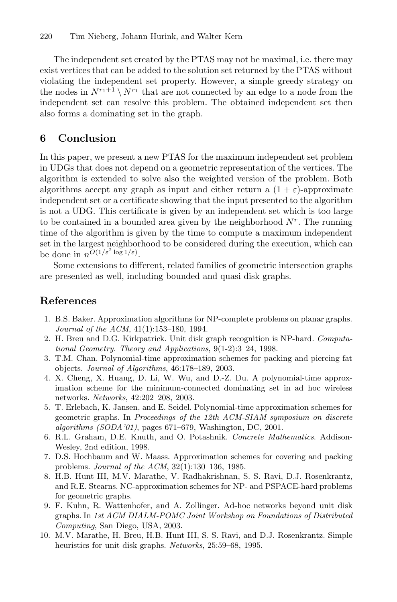The independent set created by the PTAS may not be maximal, i.e. there may exist vertices that can be added to the solution set returned by the PTAS without violating the independent set property. However, a simple greedy strategy on the nodes in  $N^{r_1+1} \setminus N^{r_1}$  that are not connected by an edge to a node from the independent set can resolve this problem. The obtained independent set then also forms a dominating set in the graph.

## **6 Conclusion**

In this paper, we present a new PTAS for the maximum independent set problem in UDGs that does not depend on a geometric representation of the vertices. The algorithm is extended to solve also the weighted version of the problem. Both algorithms accept any graph as input and either return a  $(1 + \varepsilon)$ -approximate independent set or a certificate showing that the input presented to the algorithm is not a UDG. This certificate is given by an independent set which is too large to be contained in a bounded area given by the neighborhood  $N<sup>r</sup>$ . The running time of the algorithm is given by the time to compute a maximum independent set in the largest neighborhood to be considered during the execution, which can be done in  $n^{\widetilde{O}(1/\varepsilon^2 \log 1/\varepsilon)}$ .

Some extensions to different, related families of geometric intersection graphs are presented as well, including bounded and quasi disk graphs.

## **References**

- 1. B.S. Baker. Approximation algorithms for NP-complete problems on planar graphs. *Journal of the ACM*, 41(1):153–180, 1994.
- 2. H. Breu and D.G. Kirkpatrick. Unit disk graph recognition is NP-hard. *Computational Geometry. Theory and Applications*, 9(1-2):3–24, 1998.
- 3. T.M. Chan. Polynomial-time approximation schemes for packing and piercing fat objects. *Journal of Algorithms*, 46:178–189, 2003.
- 4. X. Cheng, X. Huang, D. Li, W. Wu, and D.-Z. Du. A polynomial-time approximation scheme for the minimum-connected dominating set in ad hoc wireless networks. *Networks*, 42:202–208, 2003.
- 5. T. Erlebach, K. Jansen, and E. Seidel. Polynomial-time approximation schemes for geometric graphs. In *Proceedings of the 12th ACM-SIAM symposium on discrete algorithms (SODA'01)*, pages 671–679, Washington, DC, 2001.
- 6. R.L. Graham, D.E. Knuth, and O. Potashnik. *Concrete Mathematics*. Addison-Wesley, 2nd edition, 1998.
- 7. D.S. Hochbaum and W. Maass. Approximation schemes for covering and packing problems. *Journal of the ACM*, 32(1):130–136, 1985.
- 8. H.B. Hunt III, M.V. Marathe, V. Radhakrishnan, S. S. Ravi, D.J. Rosenkrantz, and R.E. Stearns. NC-approximation schemes for NP- and PSPACE-hard problems for geometric graphs.
- 9. F. Kuhn, R. Wattenhofer, and A. Zollinger. Ad-hoc networks beyond unit disk graphs. In *1st ACM DIALM-POMC Joint Workshop on Foundations of Distributed Computing*, San Diego, USA, 2003.
- 10. M.V. Marathe, H. Breu, H.B. Hunt III, S. S. Ravi, and D.J. Rosenkrantz. Simple heuristics for unit disk graphs. *Networks*, 25:59–68, 1995.